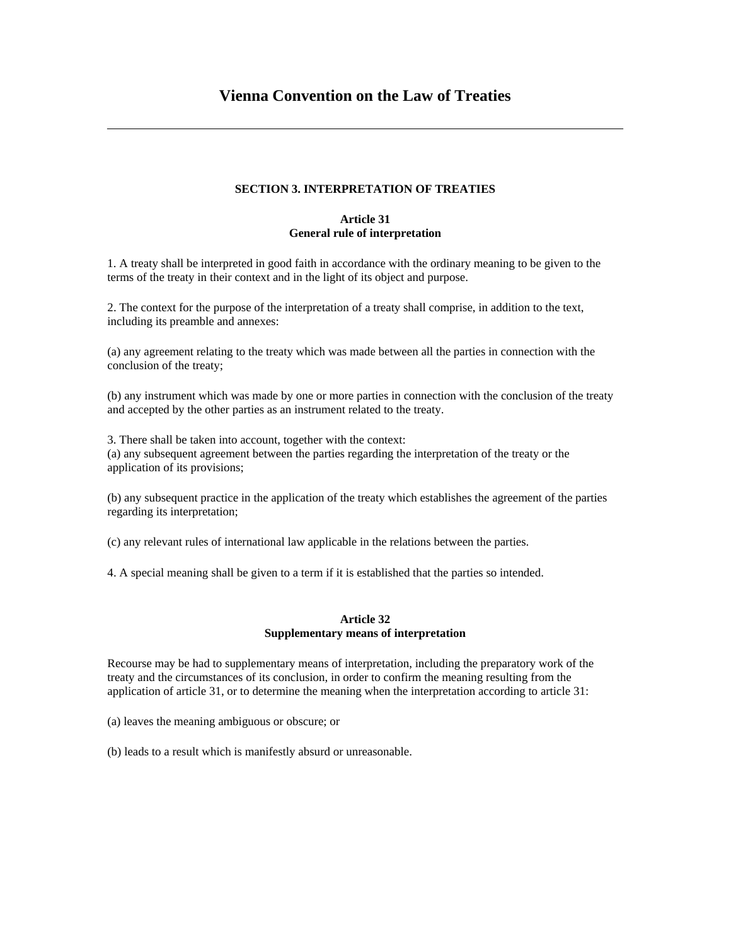### **SECTION 3. INTERPRETATION OF TREATIES**

# **Article 31 General rule of interpretation**

1. A treaty shall be interpreted in good faith in accordance with the ordinary meaning to be given to the terms of the treaty in their context and in the light of its object and purpose.

2. The context for the purpose of the interpretation of a treaty shall comprise, in addition to the text, including its preamble and annexes:

(a) any agreement relating to the treaty which was made between all the parties in connection with the conclusion of the treaty;

(b) any instrument which was made by one or more parties in connection with the conclusion of the treaty and accepted by the other parties as an instrument related to the treaty.

3. There shall be taken into account, together with the context: (a) any subsequent agreement between the parties regarding the interpretation of the treaty or the application of its provisions;

(b) any subsequent practice in the application of the treaty which establishes the agreement of the parties regarding its interpretation;

(c) any relevant rules of international law applicable in the relations between the parties.

4. A special meaning shall be given to a term if it is established that the parties so intended.

#### **Article 32 Supplementary means of interpretation**

Recourse may be had to supplementary means of interpretation, including the preparatory work of the treaty and the circumstances of its conclusion, in order to confirm the meaning resulting from the application of article 31, or to determine the meaning when the interpretation according to article 31:

(a) leaves the meaning ambiguous or obscure; or

(b) leads to a result which is manifestly absurd or unreasonable.